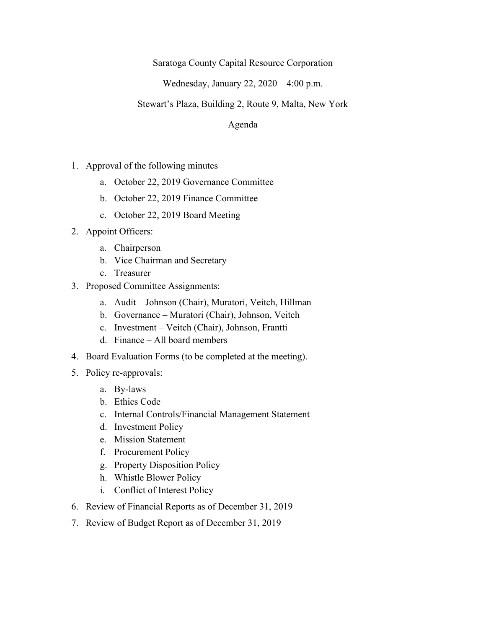Saratoga County Capital Resource Corporation

Wednesday, January 22, 2020 – 4:00 p.m.

## Stewart's Plaza, Building 2, Route 9, Malta, New York

Agenda

- 1. Approval of the following minutes
	- a. October 22, 2019 Governance Committee
	- b. October 22, 2019 Finance Committee
	- c. October 22, 2019 Board Meeting
- 2. Appoint Officers:
	- a. Chairperson
	- b. Vice Chairman and Secretary
	- c. Treasurer
- 3. Proposed Committee Assignments:
	- a. Audit Johnson (Chair), Muratori, Veitch, Hillman
	- b. Governance Muratori (Chair), Johnson, Veitch
	- c. Investment Veitch (Chair), Johnson, Frantti
	- d. Finance All board members
- 4. Board Evaluation Forms (to be completed at the meeting).
- 5. Policy re-approvals:
	- a. By-laws
	- b. Ethics Code
	- c. Internal Controls/Financial Management Statement
	- d. Investment Policy
	- e. Mission Statement
	- f. Procurement Policy
	- g. Property Disposition Policy
	- h. Whistle Blower Policy
	- i. Conflict of Interest Policy
- 6. Review of Financial Reports as of December 31, 2019
- 7. Review of Budget Report as of December 31, 2019